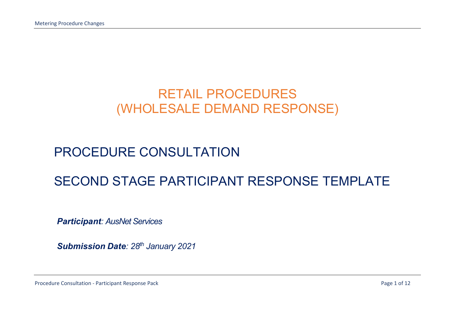# RETAIL PROCEDURES (WHOLESALE DEMAND RESPONSE)

# PROCEDURE CONSULTATION

## SECOND STAGE PARTICIPANT RESPONSE TEMPLATE

**Participant: AusNet Services** 

Submission Date: 28<sup>th</sup> January 2021

Procedure Consultation - Participant Response Pack **Page 1 of 12** and 2 and 2 and 2 and 2 and 2 and 2 and 2 and 2 and 2 and 2 and 2 and 2 and 2 and 2 and 2 and 2 and 2 and 2 and 2 and 2 and 2 and 2 and 2 and 2 and 2 and 2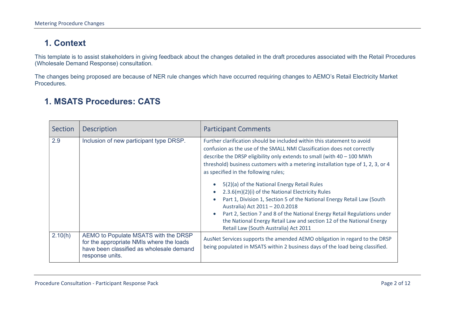## 1. Context

This template is to assist stakeholders in giving feedback about the changes detailed in the draft procedures associated with the Retail Procedures (Wholesale Demand Response) consultation.

The changes being proposed are because of NER rule changes which have occurred requiring changes to AEMO's Retail Electricity Market Procedures.

#### 1. MSATS Procedures: CATS

| Section | <b>Description</b>                                                                                                                              | <b>Participant Comments</b>                                                                                                                                                                                                                                                                                                                                                                                                                                                                                                                                                                                                                                                                                                                                            |
|---------|-------------------------------------------------------------------------------------------------------------------------------------------------|------------------------------------------------------------------------------------------------------------------------------------------------------------------------------------------------------------------------------------------------------------------------------------------------------------------------------------------------------------------------------------------------------------------------------------------------------------------------------------------------------------------------------------------------------------------------------------------------------------------------------------------------------------------------------------------------------------------------------------------------------------------------|
| 2.9     | Inclusion of new participant type DRSP.                                                                                                         | Further clarification should be included within this statement to avoid<br>confusion as the use of the SMALL NMI Classification does not correctly<br>describe the DRSP eligibility only extends to small (with $40 - 100$ MWh<br>threshold) business customers with a metering installation type of 1, 2, 3, or 4<br>as specified in the following rules;<br>5(2)(a) of the National Energy Retail Rules<br>2.3.6(m)(2)(i) of the National Electricity Rules<br>Part 1, Division 1, Section 5 of the National Energy Retail Law (South<br>Australia) Act 2011 - 20.0.2018<br>Part 2, Section 7 and 8 of the National Energy Retail Regulations under<br>the National Energy Retail Law and section 12 of the National Energy<br>Retail Law (South Australia) Act 2011 |
| 2.10(h) | AEMO to Populate MSATS with the DRSP<br>for the appropriate NMIs where the loads<br>have been classified as wholesale demand<br>response units. | AusNet Services supports the amended AEMO obligation in regard to the DRSP<br>being populated in MSATS within 2 business days of the load being classified.                                                                                                                                                                                                                                                                                                                                                                                                                                                                                                                                                                                                            |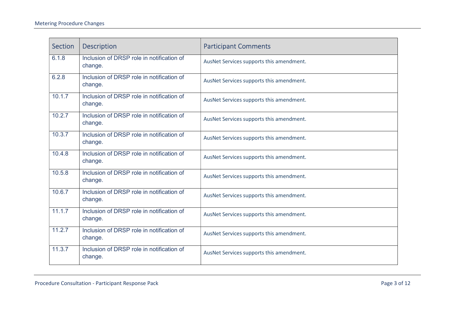| Section | <b>Description</b>                                   | <b>Participant Comments</b>              |
|---------|------------------------------------------------------|------------------------------------------|
| 6.1.8   | Inclusion of DRSP role in notification of<br>change. | AusNet Services supports this amendment. |
| 6.2.8   | Inclusion of DRSP role in notification of<br>change. | AusNet Services supports this amendment. |
| 10.1.7  | Inclusion of DRSP role in notification of<br>change. | AusNet Services supports this amendment. |
| 10.2.7  | Inclusion of DRSP role in notification of<br>change. | AusNet Services supports this amendment. |
| 10.3.7  | Inclusion of DRSP role in notification of<br>change. | AusNet Services supports this amendment. |
| 10.4.8  | Inclusion of DRSP role in notification of<br>change. | AusNet Services supports this amendment. |
| 10.5.8  | Inclusion of DRSP role in notification of<br>change. | AusNet Services supports this amendment. |
| 10.6.7  | Inclusion of DRSP role in notification of<br>change. | AusNet Services supports this amendment. |
| 11.1.7  | Inclusion of DRSP role in notification of<br>change. | AusNet Services supports this amendment. |
| 11.2.7  | Inclusion of DRSP role in notification of<br>change. | AusNet Services supports this amendment. |
| 11.3.7  | Inclusion of DRSP role in notification of<br>change. | AusNet Services supports this amendment. |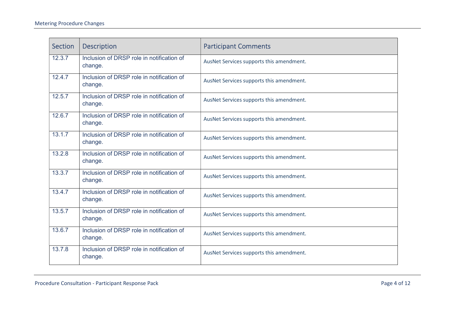| Section | <b>Description</b>                                   | <b>Participant Comments</b>              |
|---------|------------------------------------------------------|------------------------------------------|
| 12.3.7  | Inclusion of DRSP role in notification of<br>change. | AusNet Services supports this amendment. |
| 12.4.7  | Inclusion of DRSP role in notification of<br>change. | AusNet Services supports this amendment. |
| 12.5.7  | Inclusion of DRSP role in notification of<br>change. | AusNet Services supports this amendment. |
| 12.6.7  | Inclusion of DRSP role in notification of<br>change. | AusNet Services supports this amendment. |
| 13.1.7  | Inclusion of DRSP role in notification of<br>change. | AusNet Services supports this amendment. |
| 13.2.8  | Inclusion of DRSP role in notification of<br>change. | AusNet Services supports this amendment. |
| 13.3.7  | Inclusion of DRSP role in notification of<br>change. | AusNet Services supports this amendment. |
| 13.4.7  | Inclusion of DRSP role in notification of<br>change. | AusNet Services supports this amendment. |
| 13.5.7  | Inclusion of DRSP role in notification of<br>change. | AusNet Services supports this amendment. |
| 13.6.7  | Inclusion of DRSP role in notification of<br>change. | AusNet Services supports this amendment. |
| 13.7.8  | Inclusion of DRSP role in notification of<br>change. | AusNet Services supports this amendment. |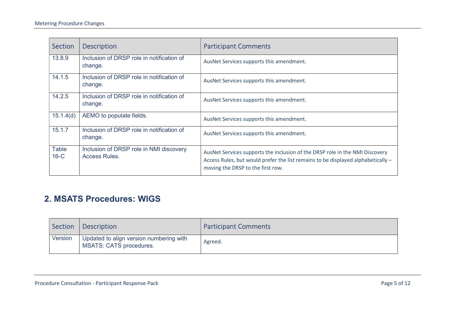| Section                | <b>Description</b>                                              | <b>Participant Comments</b>                                                                                                                                                                           |
|------------------------|-----------------------------------------------------------------|-------------------------------------------------------------------------------------------------------------------------------------------------------------------------------------------------------|
| 13.8.9                 | Inclusion of DRSP role in notification of<br>change.            | AusNet Services supports this amendment.                                                                                                                                                              |
| 14.1.5                 | Inclusion of DRSP role in notification of<br>change.            | AusNet Services supports this amendment.                                                                                                                                                              |
| 14.2.5                 | Inclusion of DRSP role in notification of<br>change.            | AusNet Services supports this amendment.                                                                                                                                                              |
| 15.1.4(d)              | AEMO to populate fields.                                        | AusNet Services supports this amendment.                                                                                                                                                              |
| 15.1.7                 | Inclusion of DRSP role in notification of<br>change.            | AusNet Services supports this amendment.                                                                                                                                                              |
| <b>Table</b><br>$16-C$ | Inclusion of DRSP role in NMI discovery<br><b>Access Rules.</b> | AusNet Services supports the inclusion of the DRSP role in the NMI Discovery<br>Access Rules, but would prefer the list remains to be displayed alphabetically -<br>moving the DRSP to the first row. |

### 2. MSATS Procedures: WIGS

| Section | Description                                                               | <b>Participant Comments</b> |
|---------|---------------------------------------------------------------------------|-----------------------------|
| Version | Updated to align version numbering with<br><b>MSATS: CATS procedures.</b> | Agreed.                     |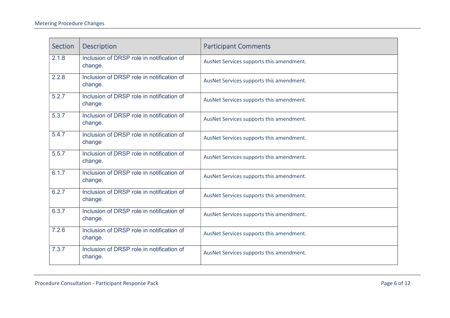| Section | <b>Description</b>                                   | <b>Participant Comments</b>              |
|---------|------------------------------------------------------|------------------------------------------|
| 2.1.8   | Inclusion of DRSP role in notification of<br>change. | AusNet Services supports this amendment. |
| 2.2.8   | Inclusion of DRSP role in notification of<br>change. | AusNet Services supports this amendment. |
| 5.2.7   | Inclusion of DRSP role in notification of<br>change. | AusNet Services supports this amendment. |
| 5.3.7   | Inclusion of DRSP role in notification of<br>change. | AusNet Services supports this amendment. |
| 5.4.7   | Inclusion of DRSP role in notification of<br>change  | AusNet Services supports this amendment. |
| 5.5.7   | Inclusion of DRSP role in notification of<br>change. | AusNet Services supports this amendment. |
| 6.1.7   | Inclusion of DRSP role in notification of<br>change. | AusNet Services supports this amendment. |
| 6.2.7   | Inclusion of DRSP role in notification of<br>change. | AusNet Services supports this amendment. |
| 6.3.7   | Inclusion of DRSP role in notification of<br>change. | AusNet Services supports this amendment. |
| 7.2.6   | Inclusion of DRSP role in notification of<br>change. | AusNet Services supports this amendment. |
| 7.3.7   | Inclusion of DRSP role in notification of<br>change. | AusNet Services supports this amendment. |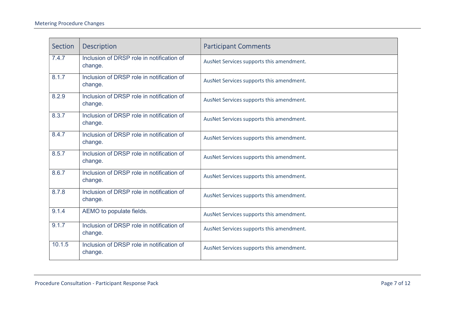| Section | <b>Description</b>                                   | <b>Participant Comments</b>              |
|---------|------------------------------------------------------|------------------------------------------|
| 7.4.7   | Inclusion of DRSP role in notification of<br>change. | AusNet Services supports this amendment. |
| 8.1.7   | Inclusion of DRSP role in notification of<br>change. | AusNet Services supports this amendment. |
| 8.2.9   | Inclusion of DRSP role in notification of<br>change. | AusNet Services supports this amendment. |
| 8.3.7   | Inclusion of DRSP role in notification of<br>change. | AusNet Services supports this amendment. |
| 8.4.7   | Inclusion of DRSP role in notification of<br>change. | AusNet Services supports this amendment. |
| 8.5.7   | Inclusion of DRSP role in notification of<br>change. | AusNet Services supports this amendment. |
| 8.6.7   | Inclusion of DRSP role in notification of<br>change. | AusNet Services supports this amendment. |
| 8.7.8   | Inclusion of DRSP role in notification of<br>change. | AusNet Services supports this amendment. |
| 9.1.4   | AEMO to populate fields.                             | AusNet Services supports this amendment. |
| 9.1.7   | Inclusion of DRSP role in notification of<br>change. | AusNet Services supports this amendment. |
| 10.1.5  | Inclusion of DRSP role in notification of<br>change. | AusNet Services supports this amendment. |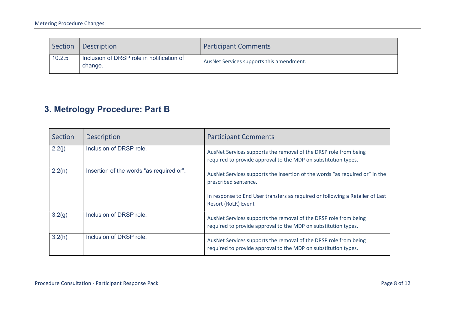| Section | Description                                          | <b>Participant Comments</b>              |
|---------|------------------------------------------------------|------------------------------------------|
| 10.2.5  | Inclusion of DRSP role in notification of<br>change. | AusNet Services supports this amendment. |

## 3. Metrology Procedure: Part B

| Section | <b>Description</b>                       | <b>Participant Comments</b>                                                                                                                                                                                 |
|---------|------------------------------------------|-------------------------------------------------------------------------------------------------------------------------------------------------------------------------------------------------------------|
| 2.2(i)  | Inclusion of DRSP role.                  | AusNet Services supports the removal of the DRSP role from being<br>required to provide approval to the MDP on substitution types.                                                                          |
| 2.2(n)  | Insertion of the words "as required or". | AusNet Services supports the insertion of the words "as required or" in the<br>prescribed sentence.<br>In response to End User transfers as required or following a Retailer of Last<br>Resort (RoLR) Event |
| 3.2(g)  | Inclusion of DRSP role.                  | AusNet Services supports the removal of the DRSP role from being                                                                                                                                            |
|         |                                          | required to provide approval to the MDP on substitution types.                                                                                                                                              |
| 3.2(h)  | Inclusion of DRSP role.                  | AusNet Services supports the removal of the DRSP role from being<br>required to provide approval to the MDP on substitution types.                                                                          |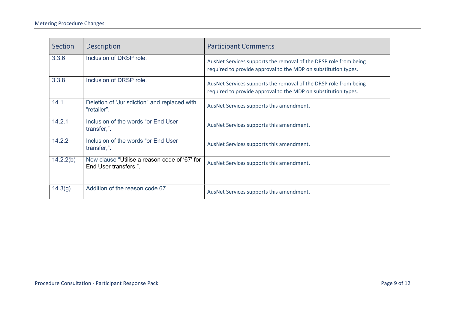| <b>Section</b> | <b>Description</b>                                                     | <b>Participant Comments</b>                                                                                                        |
|----------------|------------------------------------------------------------------------|------------------------------------------------------------------------------------------------------------------------------------|
| 3.3.6          | Inclusion of DRSP role.                                                | AusNet Services supports the removal of the DRSP role from being<br>required to provide approval to the MDP on substitution types. |
| 3.3.8          | Inclusion of DRSP role.                                                | AusNet Services supports the removal of the DRSP role from being<br>required to provide approval to the MDP on substitution types. |
| 14.1           | Deletion of 'Jurisdiction" and replaced with<br>"retailer".            | AusNet Services supports this amendment.                                                                                           |
| 14.2.1         | Inclusion of the words "or End User<br>transfer,".                     | AusNet Services supports this amendment.                                                                                           |
| 14.2.2         | Inclusion of the words "or End User<br>transfer,".                     | AusNet Services supports this amendment.                                                                                           |
| 14.2.2(b)      | New clause "Utilise a reason code of '67' for<br>End User transfers,". | AusNet Services supports this amendment.                                                                                           |
| 14.3(g)        | Addition of the reason code 67.                                        | AusNet Services supports this amendment.                                                                                           |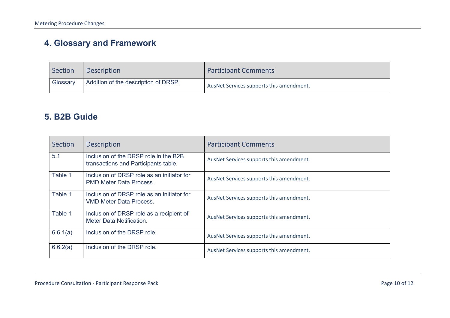## 4. Glossary and Framework

| Section  | <b>Description</b>                   | <b>Participant Comments</b>              |
|----------|--------------------------------------|------------------------------------------|
| Glossary | Addition of the description of DRSP. | AusNet Services supports this amendment. |

#### 5. B2B Guide

| Section  | <b>Description</b>                                                            | <b>Participant Comments</b>              |
|----------|-------------------------------------------------------------------------------|------------------------------------------|
| 5.1      | Inclusion of the DRSP role in the B2B<br>transactions and Participants table. | AusNet Services supports this amendment. |
| Table 1  | Inclusion of DRSP role as an initiator for<br><b>PMD Meter Data Process.</b>  | AusNet Services supports this amendment. |
| Table 1  | Inclusion of DRSP role as an initiator for<br><b>VMD Meter Data Process.</b>  | AusNet Services supports this amendment. |
| Table 1  | Inclusion of DRSP role as a recipient of<br>Meter Data Notification.          | AusNet Services supports this amendment. |
| 6.6.1(a) | Inclusion of the DRSP role.                                                   | AusNet Services supports this amendment. |
| 6.6.2(a) | Inclusion of the DRSP role.                                                   | AusNet Services supports this amendment. |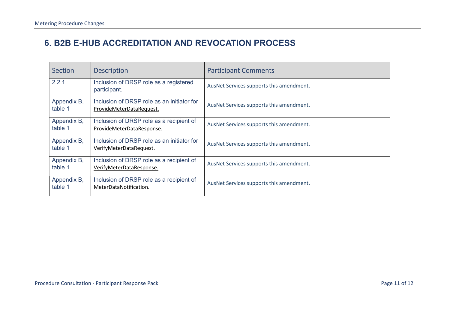## 6. B2B E-HUB ACCREDITATION AND REVOCATION PROCESS

| Section                | <b>Description</b>                                                     | <b>Participant Comments</b>              |
|------------------------|------------------------------------------------------------------------|------------------------------------------|
| 2.2.1                  | Inclusion of DRSP role as a registered<br>participant.                 | AusNet Services supports this amendment. |
| Appendix B,<br>table 1 | Inclusion of DRSP role as an initiator for<br>ProvideMeterDataRequest. | AusNet Services supports this amendment. |
| Appendix B,<br>table 1 | Inclusion of DRSP role as a recipient of<br>ProvideMeterDataResponse.  | AusNet Services supports this amendment. |
| Appendix B,<br>table 1 | Inclusion of DRSP role as an initiator for<br>VerifyMeterDataRequest.  | AusNet Services supports this amendment. |
| Appendix B,<br>table 1 | Inclusion of DRSP role as a recipient of<br>VerifyMeterDataResponse.   | AusNet Services supports this amendment. |
| Appendix B,<br>table 1 | Inclusion of DRSP role as a recipient of<br>MeterDataNotification.     | AusNet Services supports this amendment. |